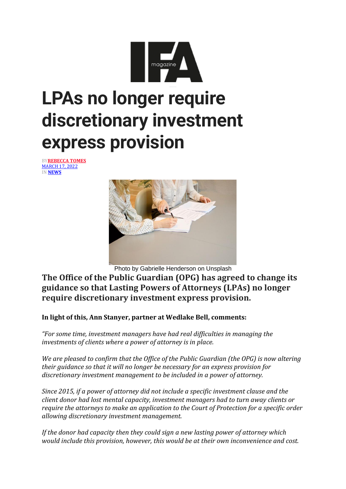

## **LPAs no longer require discretionary investment express provision**

BY**[REBECCA](https://ifamagazine.com/author/rebecca-tomes/) TOMES** [MARCH](https://ifamagazine.com/article/lpas-no-longer-require-discretionary-investment-express-provision/) 17, 2022 IN **[NEWS](https://ifamagazine.com/category/ifa-news/)**



Photo by Gabrielle Henderson on Unsplash

**The Office of the Public Guardian (OPG) has agreed to change its guidance so that Lasting Powers of Attorneys (LPAs) no longer require discretionary investment express provision.**

**In light of this, Ann Stanyer, partner at Wedlake Bell, comments:**

*"For some time, investment managers have had real difficulties in managing the investments of clients where a power of attorney is in place.*

*We are pleased to confirm that the Office of the Public Guardian (the OPG) is now altering their guidance so that it will no longer be necessary for an express provision for discretionary investment management to be included in a power of attorney.*

*Since 2015, if a power of attorney did not include a specific investment clause and the client donor had lost mental capacity, investment managers had to turn away clients or require the attorneys to make an application to the Court of Protection for a specific order allowing discretionary investment management.*

*If the donor had capacity then they could sign a new lasting power of attorney which would include this provision, however, this would be at their own inconvenience and cost.*